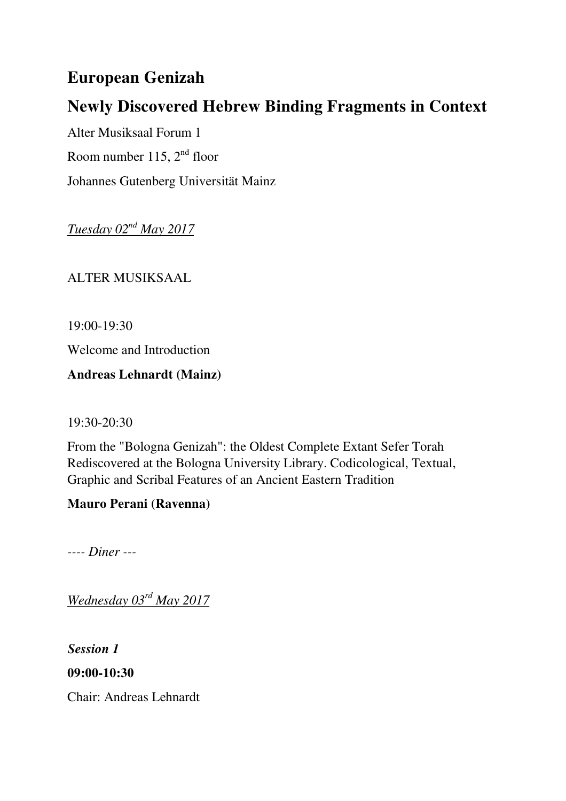# **European Genizah**

# **Newly Discovered Hebrew Binding Fragments in Context**

Alter Musiksaal Forum 1 Room number 115,  $2<sup>nd</sup>$  floor Johannes Gutenberg Universität Mainz

*Tuesday 02nd May 2017*

ALTER MUSIKSAAL

19:00-19:30

Welcome and Introduction

**Andreas Lehnardt (Mainz)** 

19:30-20:30

From the "Bologna Genizah": the Oldest Complete Extant Sefer Torah Rediscovered at the Bologna University Library. Codicological, Textual, Graphic and Scribal Features of an Ancient Eastern Tradition

## **Mauro Perani (Ravenna)**

*---- Diner ---* 

*Wednesday 03rd May 2017*

*Session 1*

**09:00-10:30** 

Chair: Andreas Lehnardt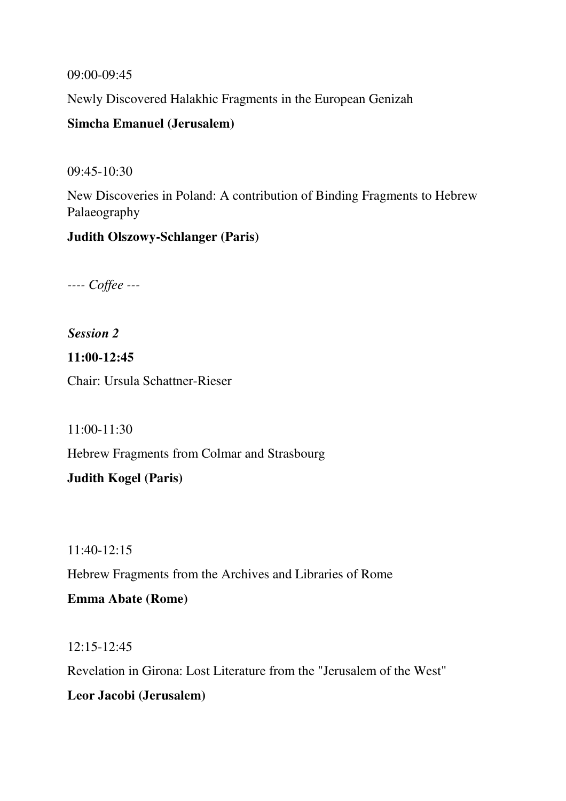09:00-09:45

Newly Discovered Halakhic Fragments in the European Genizah

### **Simcha Emanuel (Jerusalem)**

09:45-10:30

New Discoveries in Poland: A contribution of Binding Fragments to Hebrew Palaeography

### **Judith Olszowy-Schlanger (Paris)**

*---- Coffee ---* 

*Session 2* 

**11:00-12:45**  Chair: Ursula Schattner-Rieser

11:00-11:30

Hebrew Fragments from Colmar and Strasbourg

**Judith Kogel (Paris)** 

11:40-12:15 Hebrew Fragments from the Archives and Libraries of Rome **Emma Abate (Rome)** 

12:15-12:45

Revelation in Girona: Lost Literature from the "Jerusalem of the West"

**Leor Jacobi (Jerusalem)**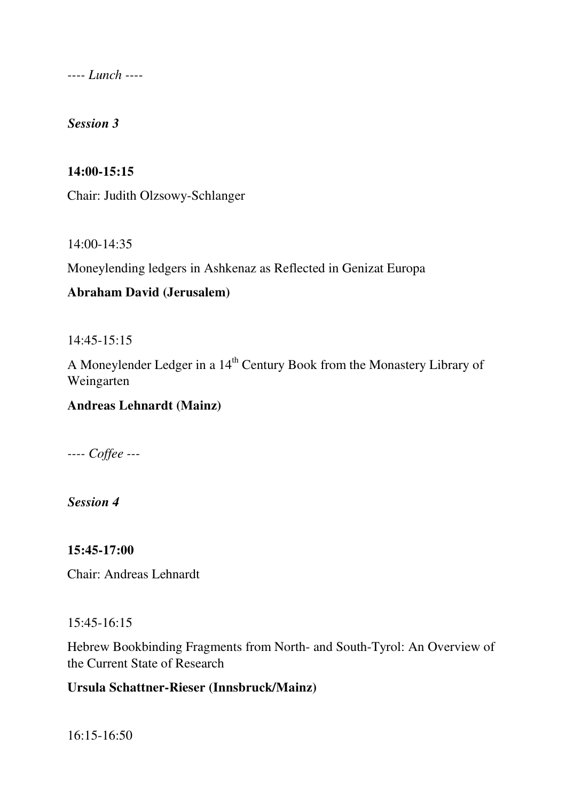*---- Lunch ----* 

*Session 3* 

#### **14:00-15:15**

Chair: Judith Olzsowy-Schlanger

14:00-14:35

Moneylending ledgers in Ashkenaz as Reflected in Genizat Europa

#### **Abraham David (Jerusalem)**

14:45-15:15

A Moneylender Ledger in a 14<sup>th</sup> Century Book from the Monastery Library of Weingarten

## **Andreas Lehnardt (Mainz)**

*---- Coffee ---* 

*Session 4* 

**15:45-17:00** 

Chair: Andreas Lehnardt

15:45-16:15

Hebrew Bookbinding Fragments from North- and South-Tyrol: An Overview of the Current State of Research

#### **Ursula Schattner-Rieser (Innsbruck/Mainz)**

16:15-16:50